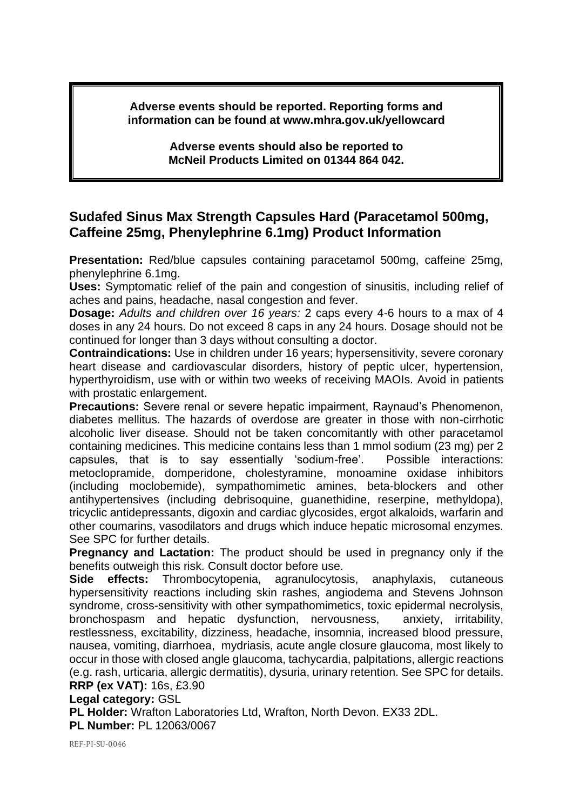**Adverse events should be reported. Reporting forms and information can be found at www.mhra.gov.uk/yellowcard**

> **Adverse events should also be reported to McNeil Products Limited on 01344 864 042.**

## **Sudafed Sinus Max Strength Capsules Hard (Paracetamol 500mg, Caffeine 25mg, Phenylephrine 6.1mg) Product Information**

**Presentation:** Red/blue capsules containing paracetamol 500mg, caffeine 25mg, phenylephrine 6.1mg.

**Uses:** Symptomatic relief of the pain and congestion of sinusitis, including relief of aches and pains, headache, nasal congestion and fever.

**Dosage:** *Adults and children over 16 years:* 2 caps every 4-6 hours to a max of 4 doses in any 24 hours. Do not exceed 8 caps in any 24 hours. Dosage should not be continued for longer than 3 days without consulting a doctor.

**Contraindications:** Use in children under 16 years; hypersensitivity, severe coronary heart disease and cardiovascular disorders, history of peptic ulcer, hypertension, hyperthyroidism, use with or within two weeks of receiving MAOIs. Avoid in patients with prostatic enlargement.

**Precautions:** Severe renal or severe hepatic impairment, Raynaud's Phenomenon, diabetes mellitus. The hazards of overdose are greater in those with non-cirrhotic alcoholic liver disease. Should not be taken concomitantly with other paracetamol containing medicines. This medicine contains less than 1 mmol sodium (23 mg) per 2 capsules, that is to say essentially 'sodium-free'. Possible interactions: metoclopramide, domperidone, cholestyramine, monoamine oxidase inhibitors (including moclobemide), sympathomimetic amines, beta-blockers and other antihypertensives (including debrisoquine, guanethidine, reserpine, methyldopa), tricyclic antidepressants, digoxin and cardiac glycosides, ergot alkaloids, warfarin and other coumarins, vasodilators and drugs which induce hepatic microsomal enzymes. See SPC for further details.

**Pregnancy and Lactation:** The product should be used in pregnancy only if the benefits outweigh this risk. Consult doctor before use.

**Side effects:** Thrombocytopenia, agranulocytosis, anaphylaxis, cutaneous hypersensitivity reactions including skin rashes, angiodema and Stevens Johnson syndrome, cross-sensitivity with other sympathomimetics, toxic epidermal necrolysis, bronchospasm and hepatic dysfunction, nervousness, anxiety, irritability, restlessness, excitability, dizziness, headache, insomnia, increased blood pressure, nausea, vomiting, diarrhoea, mydriasis, acute angle closure glaucoma, most likely to occur in those with closed angle glaucoma, tachycardia, palpitations, allergic reactions (e.g. rash, urticaria, allergic dermatitis), dysuria, urinary retention. See SPC for details. **RRP (ex VAT):** 16s, £3.90

**Legal category:** GSL

**PL Holder:** Wrafton Laboratories Ltd, Wrafton, North Devon. EX33 2DL.

**PL Number:** PL 12063/0067